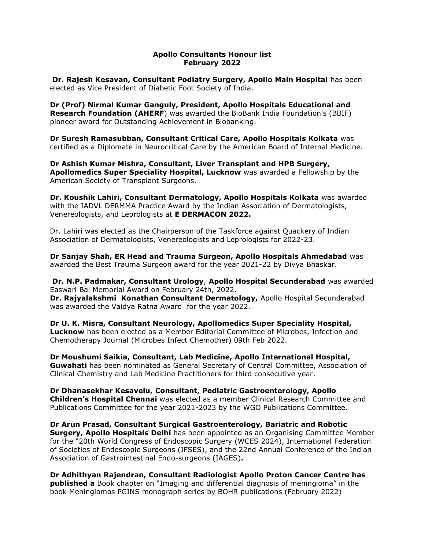## Apollo Consultants Honour list February 2022

 Dr. Rajesh Kesavan, Consultant Podiatry Surgery, Apollo Main Hospital has been elected as Vice President of Diabetic Foot Society of India.

Dr (Prof) Nirmal Kumar Ganguly, President, Apollo Hospitals Educational and **Research Foundation (AHERF)** was awarded the BioBank India Foundation's (BBIF) pioneer award for Outstanding Achievement in Biobanking.

Dr Suresh Ramasubban, Consultant Critical Care, Apollo Hospitals Kolkata was certified as a Diplomate in Neurocritical Care by the American Board of Internal Medicine.

Dr Ashish Kumar Mishra, Consultant, Liver Transplant and HPB Surgery, Apollomedics Super Speciality Hospital, Lucknow was awarded a Fellowship by the American Society of Transplant Surgeons.

Dr. Koushik Lahiri, Consultant Dermatology, Apollo Hospitals Kolkata was awarded with the IADVL DERMMA Practice Award by the Indian Association of Dermatologists, Venereologists, and Leprologists at E DERMACON 2022.

Dr. Lahiri was elected as the Chairperson of the Taskforce against Quackery of Indian Association of Dermatologists, Venereologists and Leprologists for 2022-23.

Dr Sanjay Shah, ER Head and Trauma Surgeon, Apollo Hospitals Ahmedabad was awarded the Best Trauma Surgeon award for the year 2021-22 by Divya Bhaskar.

Dr. N.P. Padmakar, Consultant Urology, Apollo Hospital Secunderabad was awarded Easwari Bai Memorial Award on February 24th, 2022.

Dr. Rajyalakshmi Konathan Consultant Dermatology, Apollo Hospital Secunderabad was awarded the Vaidya Ratna Award for the year 2022.

Dr U. K. Misra, Consultant Neurology, Apollomedics Super Speciality Hospital, Lucknow has been elected as a Member Editorial Committee of Microbes, Infection and Chemotherapy Journal (Microbes Infect Chemother) 09th Feb 2022.

Dr Moushumi Saikia, Consultant, Lab Medicine, Apollo International Hospital, Guwahati has been nominated as General Secretary of Central Committee, Association of Clinical Chemistry and Lab Medicine Practitioners for third consecutive year.

Dr Dhanasekhar Kesavelu, Consultant, Pediatric Gastroenterology, Apollo Children's Hospital Chennai was elected as a member Clinical Research Committee and Publications Committee for the year 2021-2023 by the WGO Publications Committee.

Dr Arun Prasad, Consultant Surgical Gastroenterology, Bariatric and Robotic **Surgery, Apollo Hospitals Delhi** has been appointed as an Organising Committee Member for the "20th World Congress of Endoscopic Surgery (WCES 2024), International Federation of Societies of Endoscopic Surgeons (IFSES), and the 22nd Annual Conference of the Indian Association of Gastrointestinal Endo-surgeons (IAGES).

Dr Adhithyan Rajendran, Consultant Radiologist Apollo Proton Cancer Centre has published a Book chapter on "Imaging and differential diagnosis of meningioma" in the book Meningiomas PGINS monograph series by BOHR publications (February 2022)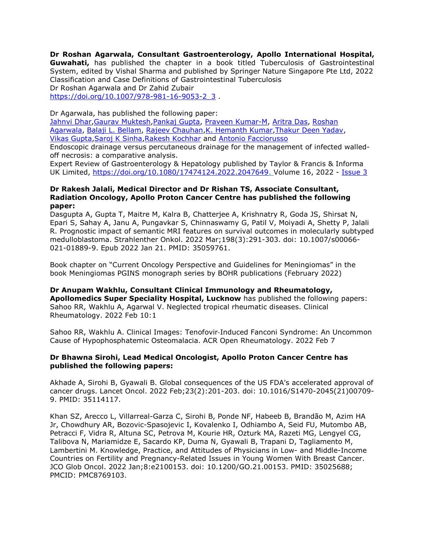Dr Roshan Agarwala, Consultant Gastroenterology, Apollo International Hospital, Guwahati, has published the chapter in a book titled Tuberculosis of Gastrointestinal System, edited by Vishal Sharma and published by Springer Nature Singapore Pte Ltd, 2022 Classification and Case Definitions of Gastrointestinal Tuberculosis Dr Roshan Agarwala and Dr Zahid Zubair https://doi.org/10.1007/978-981-16-9053-2\_3 .

Dr Agarwala, has published the following paper:

Jahnvi Dhar, Gaurav Muktesh, Pankaj Gupta, Praveen Kumar-M, Aritra Das, Roshan Agarwala, Balaji L. Bellam, Rajeev Chauhan,K. Hemanth Kumar,Thakur Deen Yadav, Vikas Gupta,Saroj K Sinha,Rakesh Kochhar and Antonio Facciorusso

Endoscopic drainage versus percutaneous drainage for the management of infected walledoff necrosis: a comparative analysis.

Expert Review of Gastroenterology & Hepatology published by Taylor & Francis & Informa UK Limited, https://doi.org/10.1080/17474124.2022.2047649. Volume 16, 2022 - Issue 3

## Dr Rakesh Jalali, Medical Director and Dr Rishan TS, Associate Consultant, Radiation Oncology, Apollo Proton Cancer Centre has published the following paper:

Dasgupta A, Gupta T, Maitre M, Kalra B, Chatterjee A, Krishnatry R, Goda JS, Shirsat N, Epari S, Sahay A, Janu A, Pungavkar S, Chinnaswamy G, Patil V, Moiyadi A, Shetty P, Jalali R. Prognostic impact of semantic MRI features on survival outcomes in molecularly subtyped medulloblastoma. Strahlenther Onkol. 2022 Mar;198(3):291-303. doi: 10.1007/s00066- 021-01889-9. Epub 2022 Jan 21. PMID: 35059761.

Book chapter on "Current Oncology Perspective and Guidelines for Meningiomas" in the book Meningiomas PGINS monograph series by BOHR publications (February 2022)

Dr Anupam Wakhlu, Consultant Clinical Immunology and Rheumatology, Apollomedics Super Speciality Hospital, Lucknow has published the following papers: Sahoo RR, Wakhlu A, Agarwal V. Neglected tropical rheumatic diseases. Clinical Rheumatology. 2022 Feb 10:1

Sahoo RR, Wakhlu A. Clinical Images: Tenofovir‐Induced Fanconi Syndrome: An Uncommon Cause of Hypophosphatemic Osteomalacia. ACR Open Rheumatology. 2022 Feb 7

## Dr Bhawna Sirohi, Lead Medical Oncologist, Apollo Proton Cancer Centre has published the following papers:

Akhade A, Sirohi B, Gyawali B. Global consequences of the US FDA's accelerated approval of cancer drugs. Lancet Oncol. 2022 Feb;23(2):201-203. doi: 10.1016/S1470-2045(21)00709- 9. PMID: 35114117.

Khan SZ, Arecco L, Villarreal-Garza C, Sirohi B, Ponde NF, Habeeb B, Brandão M, Azim HA Jr, Chowdhury AR, Bozovic-Spasojevic I, Kovalenko I, Odhiambo A, Seid FU, Mutombo AB, Petracci F, Vidra R, Altuna SC, Petrova M, Kourie HR, Ozturk MA, Razeti MG, Lengyel CG, Talibova N, Mariamidze E, Sacardo KP, Duma N, Gyawali B, Trapani D, Tagliamento M, Lambertini M. Knowledge, Practice, and Attitudes of Physicians in Low- and Middle-Income Countries on Fertility and Pregnancy-Related Issues in Young Women With Breast Cancer. JCO Glob Oncol. 2022 Jan;8:e2100153. doi: 10.1200/GO.21.00153. PMID: 35025688; PMCID: PMC8769103.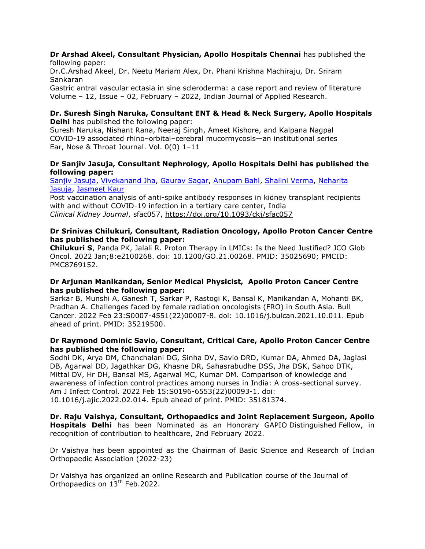### Dr Arshad Akeel, Consultant Physician, Apollo Hospitals Chennai has published the following paper:

Dr.C.Arshad Akeel, Dr. Neetu Mariam Alex, Dr. Phani Krishna Machiraju, Dr. Sriram Sankaran

Gastric antral vascular ectasia in sine scleroderma: a case report and review of literature Volume – 12, Issue – 02, February – 2022, Indian Journal of Applied Research.

#### Dr. Suresh Singh Naruka, Consultant ENT & Head & Neck Surgery, Apollo Hospitals Delhi has published the following paper:

Suresh Naruka, Nishant Rana, Neeraj Singh, Ameet Kishore, and Kalpana Nagpal COVID-19 associated rhino–orbital–cerebral mucormycosis—an institutional series Ear, Nose & Throat Journal. Vol. 0(0) 1–11

## Dr Sanjiv Jasuja, Consultant Nephrology, Apollo Hospitals Delhi has published the following paper:

Sanjiv Jasuja, Vivekanand Jha, Gaurav Sagar, Anupam Bahl, Shalini Verma, Neharita Jasuja, Jasmeet Kaur

Post vaccination analysis of anti-spike antibody responses in kidney transplant recipients with and without COVID-19 infection in a tertiary care center, India Clinical Kidney Journal, sfac057, https://doi.org/10.1093/ckj/sfac057

## Dr Srinivas Chilukuri, Consultant, Radiation Oncology, Apollo Proton Cancer Centre has published the following paper:

Chilukuri S, Panda PK, Jalali R. Proton Therapy in LMICs: Is the Need Justified? JCO Glob Oncol. 2022 Jan;8:e2100268. doi: 10.1200/GO.21.00268. PMID: 35025690; PMCID: PMC8769152.

## Dr Arjunan Manikandan, Senior Medical Physicist, Apollo Proton Cancer Centre has published the following paper:

Sarkar B, Munshi A, Ganesh T, Sarkar P, Rastogi K, Bansal K, Manikandan A, Mohanti BK, Pradhan A. Challenges faced by female radiation oncologists (FRO) in South Asia. Bull Cancer. 2022 Feb 23:S0007-4551(22)00007-8. doi: 10.1016/j.bulcan.2021.10.011. Epub ahead of print. PMID: 35219500.

# Dr Raymond Dominic Savio, Consultant, Critical Care, Apollo Proton Cancer Centre has published the following paper:

Sodhi DK, Arya DM, Chanchalani DG, Sinha DV, Savio DRD, Kumar DA, Ahmed DA, Jagiasi DB, Agarwal DD, Jagathkar DG, Khasne DR, Sahasrabudhe DSS, Jha DSK, Sahoo DTK, Mittal DV, Hr DH, Bansal MS, Agarwal MC, Kumar DM. Comparison of knowledge and awareness of infection control practices among nurses in India: A cross-sectional survey. Am J Infect Control. 2022 Feb 15:S0196-6553(22)00093-1. doi: 10.1016/j.ajic.2022.02.014. Epub ahead of print. PMID: 35181374.

Dr. Raju Vaishya, Consultant, Orthopaedics and Joint Replacement Surgeon, Apollo **Hospitals Delhi** has been Nominated as an Honorary GAPIO Distinguished Fellow, in recognition of contribution to healthcare, 2nd February 2022.

Dr Vaishya has been appointed as the Chairman of Basic Science and Research of Indian Orthopaedic Association (2022-23)

Dr Vaishya has organized an online Research and Publication course of the Journal of Orthopaedics on 13<sup>th</sup> Feb.2022.